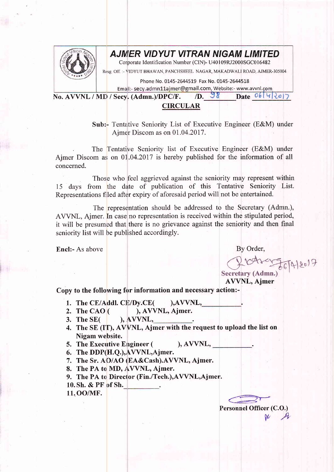

## AJMER VIDYUT VITRAN NIGAM LIMITED

Corporate Identification Number (CIN)- U40109RJ2000SGC016482

Resg, Off. :- VIDYUT BHAWAN, PANCHSHEEL NAGAR, MAKADWALI ROAD, AJMER-305004

Phone No. 0145-2644519 Fax No. 0145-2644518

Email:- secy.admn11ajmer@gmail.com, Website:- www.avvnl.com

No. AVVNL / MD / Secy.  $(Admn.)/DPC/F.$  *D.*  $98$ 

Date  $06442017$ 

## CIRCULAR

Sub:- Tentative Seniority List of Executive Engineer (E&M) under Aimer Discom as on 01.04.2017.

. The Tentative Seniority list of Executive Engineer (E&M) under Ajmer Discom as on 01.04.2017 is hereby published for the information of all concerned.

Those who feel aggrieved against the seniority may represent within 15 days from the date of publication of this Tentative Seniority List. Representations filed after expiry of aforesaid period will not be entertained.

The representation should be addressed to the Secretary (Admn.), AVVNL, Ajmer. In case no representation is received within the stipulated period, it will be presumed that there is no grievance against the seniority and then frnal seniority list will be published accordingly.

Encl:- As above By Order,

 $456912017$ Secretary (Admn.) '

AWNL, Ajmer

## Copy to the following for information and necessary action:-

- 
- 1. The CE/Addl. CE/Dy.CE( $\qquad$ ), AVVNL, 2. The CAO ( $\qquad$ ), AVVNL, Ajmer. ), AVVNL, Ajmer.<br>
), AVVNL,
- 3. The  $SE($
- 4. The SE (IT), AVVNL, Ajmer with the request to upload the list on Nigam website.
- 5. The Executive Engineer ( ), AVVNL,
- 6. The  $DDP(H.Q.)$ ,  $AVVNL$ , Ajmer.
- 7. The Sr. AO/AO (EA&Cash).AVVNL, Ajmer.
- 8. The PA to MD, AVVNL, Ajmer.
- 9. The PA to Director (Fin./Tech.),AVVNL,Ajmer.
- 10. Sh. & PF of Sh.
- 11. OO/MF.

Personnel Officer (C.O.)  $\mathcal{V}^{\text{re}}$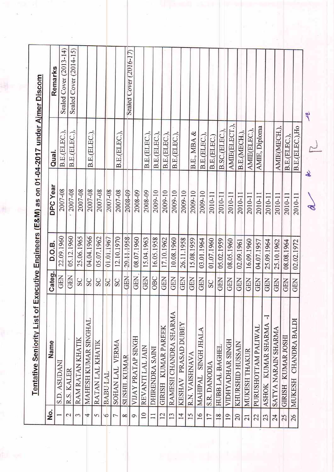| $\frac{1}{2}$   | <b>Tentative Seniority List of Ex</b> |            |               |                 | ecutive Engineers (E&M) as on 01-04-2017 under Ajmer Discom |                        |
|-----------------|---------------------------------------|------------|---------------|-----------------|-------------------------------------------------------------|------------------------|
|                 | Name                                  | Categ.     | <b>D.O.B.</b> | <b>DPC Year</b> | Qual.                                                       | Remarks                |
|                 | S.D. ASUDANI                          | GEN        | 22.09.1960    | 2007-08         | B.E.(ELEC.).                                                | Sealed Cover (2013-14) |
| $\mathbf 2$     | R.S. KALER                            | <b>GEN</b> | 05.12.1960    | 2007-08         | B.E.(ELEC.),                                                | Sealed Cover (2014-15) |
| $\epsilon$      | RAM RATAN KHATIK                      | SC         | 25.06.1965    | 2007-08         |                                                             |                        |
| 4               | MAHESH KUMAR SINGHAL                  | SC         | 04.04.1966    | 2007-08         | B.E.(ELEC.),                                                |                        |
| $\sigma$        | RATAN LAL KHATIK                      | SC         | 05.07.1962    | 2007-08         |                                                             |                        |
| S               | <b>BABU LAL</b>                       | SC         | 01.01.1967    | 2007-08         |                                                             |                        |
| $\overline{ }$  | VERMA<br>SOHAN LAL                    | SC         | 12.10.1970    | 2007-08         | B.E.(ELEC.),                                                |                        |
| $\infty$        | SUSHIL KIMAR                          | <b>GEN</b> | 29.11.1958    | 2008-09         |                                                             | Sealed Cover (2016-17) |
| $\circ$         | VIJAY PRATAP SINGH                    | GEN        | 08.07.1960    | 2008-09         |                                                             |                        |
| $\overline{10}$ | REVANTI LAL JAIN                      | <b>GEN</b> | 15:04.1963    | 2008-09         | B.E.(ELEC.)                                                 |                        |
| $\Box$          | DHIRENDRA SANI                        | OBC        | 16.05.1958    | 2009-10         | B.E.(ELEC.)                                                 |                        |
| $\overline{2}$  | GIRISH KUMAR PAREEK                   | GEN        | 17.10.1962    | 2009-10         | B.E.(ELEC.),                                                |                        |
| 13              | RAMESH CHANDRA SHARMA                 | GEN        | 10.08.1960    | 2009-10         | B.E.(ELEC.)                                                 |                        |
| $\overline{1}$  | PRASAD DUBEY<br><b>KESHAV</b>         | <b>GEN</b> | 26.11.1958    | 2009-10         |                                                             |                        |
| 15              | R.N. VAISHNAVA                        | <b>GEN</b> | 15.08.1959    | 2009-10         | B.E., MBA &                                                 |                        |
| $\overline{16}$ | SINGH JHALA<br>MAHIPAL                | <b>GEN</b> | 03.01.1964    | 2009-10         | B.E.(ELEC.)                                                 |                        |
| $\overline{17}$ | S.R. DANODIA                          | SC         | 01.07.1960    | 2010-11         | B.E.(ELEC.)                                                 |                        |
| 18              | HUBB LAL BAGHEL                       | GEN        | 05.02.1959    | 2010-11         | B.SC.(ELEC.                                                 |                        |
| 19              | VIDHYADHAR SINGH                      | <b>GEN</b> | 08.05.1960    | 2010-11         | AMIE(ELECT.),                                               |                        |
| 20              | KHURSHID HUSSAIN                      | GEN        | 02.09.1961    | 2010-11         | B.E.(MECH.)                                                 |                        |
| $\overline{21}$ | MUKESH THAKUR                         | <b>GEN</b> | 16.09.1960    | 2010-11         | AMIE(ELEC.),                                                |                        |
| 22              | PURUSHOTTAM PALIWAL                   | <b>GEN</b> | 04.07.1957    | 2010-11         | AMIE, Diploma                                               |                        |
| 23              | 7<br>KUMAR SHARMA<br><b>ASHOK</b>     | <b>GEN</b> | 25.09.1964    | 2010-11         |                                                             |                        |
| 24              | SATYA NARAIN SHARMA                   | <b>GEN</b> | 25.10.1962    | 2010-11         | AMIE(MECH.),                                                |                        |
| 25              | GIRISH KUMAR JOSHI                    | <b>GEN</b> | 08.08.1964    | 2010-11         | B.E.(ELEC.).                                                |                        |
| 26              | MUKESH CHANDRA BALDI                  | <b>GEN</b> | 02.02.1972    | 2010-11         | B.E.(ELEC.), Ho                                             |                        |
|                 |                                       |            |               | $\mathscr{E}$   | Ł                                                           | z                      |

 $\hat{\mathcal{L}}$ 

融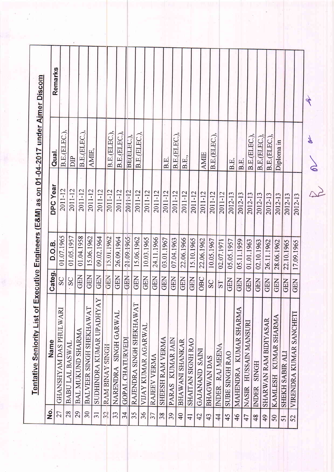| о<br>2   | Name                            | Categ.     | D.O.B.     | <b>DPC Year</b> | Qual.        | Remarks |
|----------|---------------------------------|------------|------------|-----------------|--------------|---------|
| 27       | GHANSHYAM DAS PHULWARI          | SC         | 01.07.1965 | 2011-12         | B.E.(ELEC.), |         |
| 28       | BABU LAL BASWAL                 | SC         | 01.05.1957 | 2011-12         | DIP          |         |
| 29       | BAL MUKUND SHARMA               | <b>GEN</b> | 01.04.1958 | 2011-12         | B.E.(ELEC.), |         |
| 30       | BALVEER SINGH SHEKHAWAT         | <b>GEN</b> | 15.06.1962 | 2011-12         | AMIE,        |         |
| $31 -$   | SUDHINDRA KUMAR UPADHYAY        | <b>GEN</b> | 09.02.1964 | 2011-12         |              |         |
| $32^{1}$ | <b>RAM BINAY SINGH</b>          | <b>GEN</b> | 15.01.1962 | 2011-12         | B.E.(ELEC.)  |         |
| 33       | NARENDRA SINGH GARWAL           | <b>GEN</b> | 26.09.1964 | 2011-12         | B.E.(ELEC.), |         |
| 34       | GOPAL CHATURVEDI                | <b>GEN</b> | 21.09.1965 | 2011-12         | BE(ELEC.),   |         |
| 35       | RAJENDRA SINGH SHEKHAWAT        | <b>GEN</b> | 15.06.1962 | 2011-12         | B.E.(ELEC.), |         |
| 36       | VIJAY KUMAR AGARWAL             | <b>GEN</b> | 10.03.1965 | 2011-12         |              |         |
|          | RAJEEV VERMA                    | <b>GEN</b> | 24.11.1966 | 2011-12         |              |         |
|          | SHEESH RAM VERMA                | <b>GEN</b> | 03.01.1967 | 2011-12         | B.E          |         |
|          | PARAS KUMAR JAIN                | <b>GEN</b> | 07.04.1963 | 2011-12         | B.E.(ELEC.), |         |
|          | <b>BHAWANI SHANKAR</b>          | <b>GEN</b> | 22.06.1966 | 2011-12         | B.E.,        |         |
|          | SHAITAN SIGNH RAO               | <b>GEN</b> | 15.10.1965 | 2011-12         |              |         |
|          | GAJANAND SAINI                  | OBC        | 22.06.1962 | 2011-12         | <b>AMIE</b>  |         |
|          | <b>BHAGWAN DAS</b>              | SC         | 10.05.1967 | 2011-12         | B.E.(ELEC.), |         |
|          | INDER RAJ MEENA                 | 57         | 02.07.1971 | 2011-12         |              |         |
|          | <b>SUBE SINGH RAO</b>           | <b>GEN</b> | 05.05.1957 | 2012-13         | B.E.         |         |
|          | MAHENDRA KUMAR SHARMA           | <b>GEN</b> | 05.11.1959 | 2012-13         | B.E.         |         |
|          | HUSSAIN MANSURI<br><b>NASIR</b> | <b>GEN</b> | 01.01.1963 | 2012-13         | B.E.(ELEC.), |         |
|          | <b>INDER SINGH</b>              | <b>GEN</b> | 02.10.1963 | 2012-13         | B.E.(ELEC.)  |         |
|          | SHARWAN RAM BIDIYASAR           | <b>GEN</b> | 26.11.1962 | 2012-13         | B.E.(ELEC.)  |         |
|          | KUMAR SHARMA<br><b>KAMLESH</b>  | <b>GEN</b> | 28.06.1962 | 2012-13         | Diploma in   |         |
|          | <b>SHEKH SABIR ALI</b>          | <b>GEN</b> | 22.10.1965 | 2012-13         |              |         |
|          | VIRENDRA KUMAR SANCHETI         | <b>GEN</b> | 17.09.1965 | 2012-13         |              |         |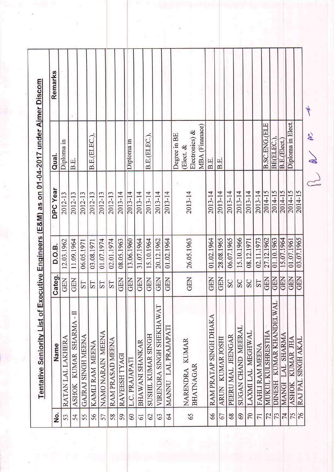Remarks Tentative Seniority List of Executive Engineers (E&M) as on 01-04-2017 under Aimer Discom K **B.SC.ENG.(ELE** Diploma in Elect. MBA (Finanace) Electronics) & Degree in BE B.E.(ELEC.), B.E.(ELEC.) BE(ELEC.), B.E.(Elect.) Diploma in Diploma in Elect. & Qual. B.E. B.E. B.E. **DPC Year** 2014-15<br>2014-15 2014-15 2013-14 2013-14  $\frac{2014-15}{201}$  $\frac{2014-15}{ }$ 2012-13 2012-13 2012-13 2013-14 2013-14 2013-14 2013-14 2013-14 2013-14 2013-14 2013-14 2013-14 2013-14 2013-14 2012-13 2012-13 2012-13 15.07.1964 GEN 28.08.1965 06.07.1965 15.10.1966 01.10.1963 03.07.1965 15.10.1964 20.12.1962 01.02.1964 02.11.1973 27.12.1962 01.07.1961 11.09.1964 31.07.1964 26.05.1963 01.02.1964 12.03.1962 01.07.1974 08.05.1963 13.06.1960 02.01.1974 08.12.1971 06.05.1971 03.08.1971 D.O.B. GEN GEN GEN **GEN** GEN GEN **GEN** Categ. GEN GEN GEN **GEN** GEN **SEX** GEN **GEN** SC SC  $|S_0|$  $TS$ ST **TS**  $TS$ DINESH KUMAR KHANDELWAL VIRENDRA SINGH SHEKHAWAT ASHOK KUMAR SHARMA-II RAM PRATAP SINGH DHAKA MANNU LAL PRAJAPATI SUGAN CHAND MEERAI MUKUL KULSHRESTHA NAMO NARAIN MEENA LAXMILAL MEGHWAL MANGI LAL SHARMA SUSHIL KUMAR SINGH PEERU MAL JEENGAR GAJRAJ SINGH MEENA RATAN LAL LAKHERA ASHOK KUMAR JHA ARUN KUMAR JOSHI RAJ PAL SINGH AKAL RAM PRASAD MEENA NARENDRA KUMAR<br>BHATNAGAR **BHAWANI SHANKAR** KAMLI RAM MEENA Name FAHLI RAM MEENA RAVEESH TYAGI L.C. PRAJAPATI  $\frac{1}{76}$  $\overline{74}$  $60$ 59 66 67  $\overline{C}$  $\overline{75}$ 69  $\frac{1}{2}$ 56 58  $\overline{61}$ 62  $|\vec{z}|$  $73$ 64 65 68  $\overline{71}$ 57 63 54 55 53

 $R_{\rm s}$  or